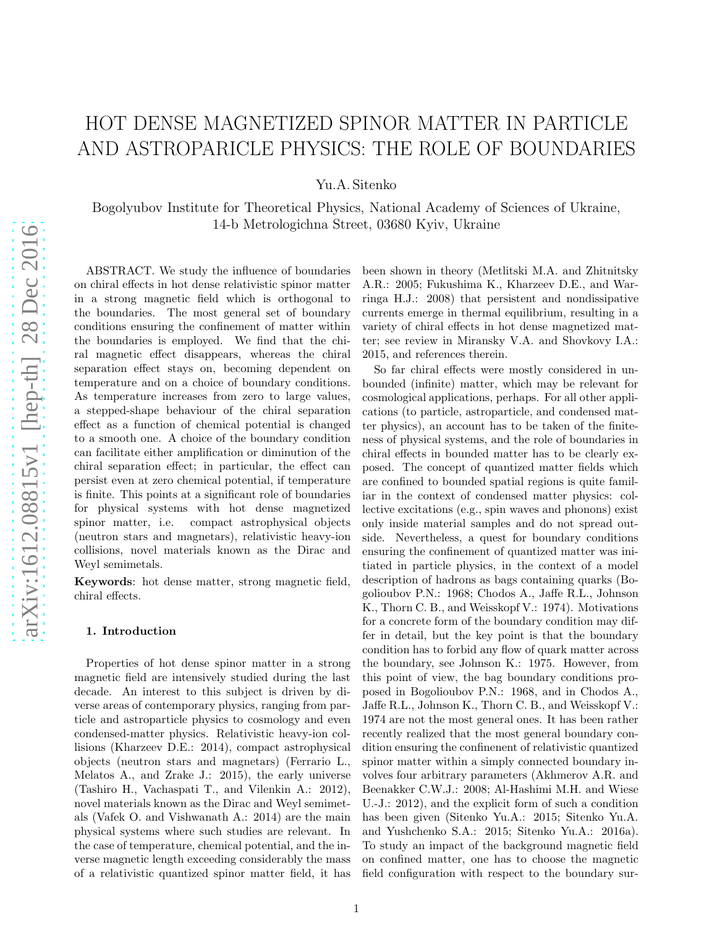# HOT DENSE MAGNETIZED SPINOR MATTER IN PARTICLE AND ASTROPARICLE PHYSICS: THE ROLE OF BOUNDARIES

Yu.A. Sitenko

Bogolyubov Institute for Theoretical Physics, National Academy of Sciences of Ukraine, 14-b Metrologichna Street, 03680 Kyiv, Ukraine

ABSTRACT. We study the influence of boundaries on chiral effects in hot dense relativistic spinor matter in a strong magnetic field which is orthogonal to the boundaries. The most general set of boundary conditions ensuring the confinement of matter within the boundaries is employed. We find that the chiral magnetic effect disappears, whereas the chiral separation effect stays on, becoming dependent on temperature and on a choice of boundary conditions. As temperature increases from zero to large values, a stepped-shape behaviour of the chiral separation effect as a function of chemical potential is changed to a smooth one. A choice of the boundary condition can facilitate either amplification or diminution of the chiral separation effect; in particular, the effect can persist even at zero chemical potential, if temperature is finite. This points at a significant role of boundaries for physical systems with hot dense magnetized spinor matter, i.e. compact astrophysical objects (neutron stars and magnetars), relativistic heavy-ion collisions, novel materials known as the Dirac and Weyl semimetals.

Keywords: hot dense matter, strong magnetic field, chiral effects.

## 1. Introduction

Properties of hot dense spinor matter in a strong magnetic field are intensively studied during the last decade. An interest to this subject is driven by diverse areas of contemporary physics, ranging from particle and astroparticle physics to cosmology and even condensed-matter physics. Relativistic heavy-ion collisions (Kharzeev D.E.: 2014), compact astrophysical objects (neutron stars and magnetars) (Ferrario L., Melatos A., and Zrake J.: 2015), the early universe (Tashiro H., Vachaspati T., and Vilenkin A.: 2012), novel materials known as the Dirac and Weyl semimetals (Vafek O. and Vishwanath A.: 2014) are the main physical systems where such studies are relevant. In the case of temperature, chemical potential, and the inverse magnetic length exceeding considerably the mass of a relativistic quantized spinor matter field, it has been shown in theory (Metlitski M.A. and Zhitnitsky A.R.: 2005; Fukushima K., Kharzeev D.E., and Warringa H.J.: 2008) that persistent and nondissipative currents emerge in thermal equilibrium, resulting in a variety of chiral effects in hot dense magnetized matter; see review in Miransky V.A. and Shovkovy I.A.: 2015, and references therein.

So far chiral effects were mostly considered in unbounded (infinite) matter, which may be relevant for cosmological applications, perhaps. For all other applications (to particle, astroparticle, and condensed matter physics), an account has to be taken of the finiteness of physical systems, and the role of boundaries in chiral effects in bounded matter has to be clearly exposed. The concept of quantized matter fields which are confined to bounded spatial regions is quite familiar in the context of condensed matter physics: collective excitations (e.g., spin waves and phonons) exist only inside material samples and do not spread outside. Nevertheless, a quest for boundary conditions ensuring the confinement of quantized matter was initiated in particle physics, in the context of a model description of hadrons as bags containing quarks (Bogolioubov P.N.: 1968; Chodos A., Jaffe R.L., Johnson K., Thorn C. B., and Weisskopf V.: 1974). Motivations for a concrete form of the boundary condition may differ in detail, but the key point is that the boundary condition has to forbid any flow of quark matter across the boundary, see Johnson K.: 1975. However, from this point of view, the bag boundary conditions proposed in Bogolioubov P.N.: 1968, and in Chodos A., Jaffe R.L., Johnson K., Thorn C. B., and Weisskopf V.: 1974 are not the most general ones. It has been rather recently realized that the most general boundary condition ensuring the confinenent of relativistic quantized spinor matter within a simply connected boundary involves four arbitrary parameters (Akhmerov A.R. and Beenakker C.W.J.: 2008; Al-Hashimi M.H. and Wiese U.-J.: 2012), and the explicit form of such a condition has been given (Sitenko Yu.A.: 2015; Sitenko Yu.A. and Yushchenko S.A.: 2015; Sitenko Yu.A.: 2016a). To study an impact of the background magnetic field on confined matter, one has to choose the magnetic field configuration with respect to the boundary sur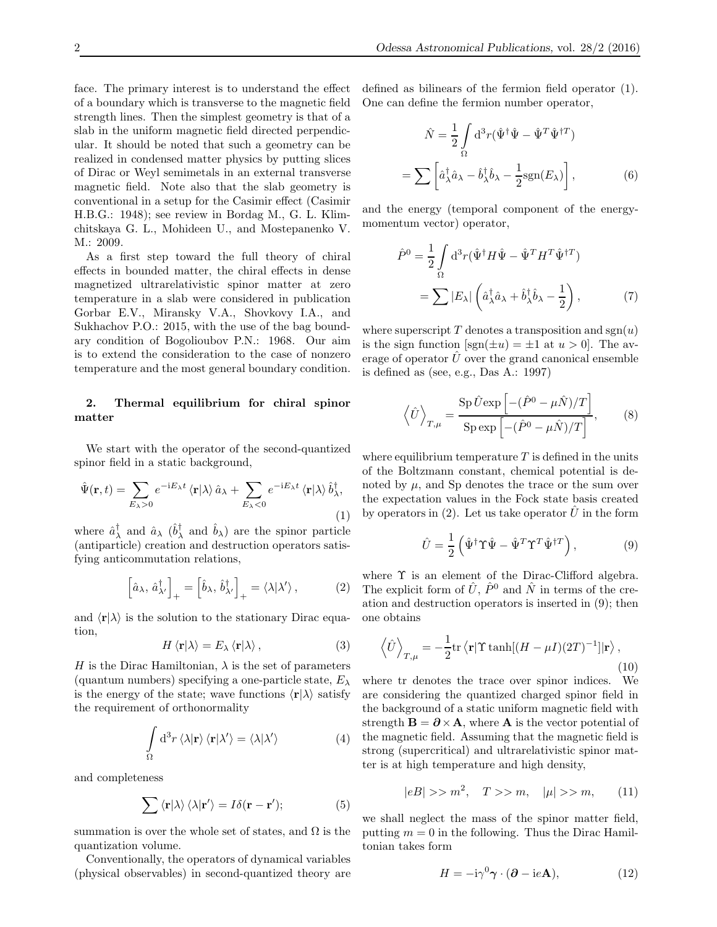face. The primary interest is to understand the effect of a boundary which is transverse to the magnetic field strength lines. Then the simplest geometry is that of a slab in the uniform magnetic field directed perpendicular. It should be noted that such a geometry can be realized in condensed matter physics by putting slices of Dirac or Weyl semimetals in an external transverse magnetic field. Note also that the slab geometry is conventional in a setup for the Casimir effect (Casimir H.B.G.: 1948); see review in Bordag M., G. L. Klimchitskaya G. L., Mohideen U., and Mostepanenko V. M.: 2009.

As a first step toward the full theory of chiral effects in bounded matter, the chiral effects in dense magnetized ultrarelativistic spinor matter at zero temperature in a slab were considered in publication Gorbar E.V., Miransky V.A., Shovkovy I.A., and Sukhachov P.O.: 2015, with the use of the bag boundary condition of Bogolioubov P.N.: 1968. Our aim is to extend the consideration to the case of nonzero temperature and the most general boundary condition.

# 2. Thermal equilibrium for chiral spinor matter

We start with the operator of the second-quantized spinor field in a static background,

$$
\hat{\Psi}(\mathbf{r},t) = \sum_{E_{\lambda} > 0} e^{-iE_{\lambda}t} \langle \mathbf{r} | \lambda \rangle \hat{a}_{\lambda} + \sum_{E_{\lambda} < 0} e^{-iE_{\lambda}t} \langle \mathbf{r} | \lambda \rangle \hat{b}_{\lambda}^{\dagger},
$$
\n(1)

where  $\hat{a}_{\lambda}^{\dagger}$  and  $\hat{a}_{\lambda}$  ( $\hat{b}_{\lambda}^{\dagger}$  and  $\hat{b}_{\lambda}$ ) are the spinor particle (antiparticle) creation and destruction operators satisfying anticommutation relations,

$$
\left[\hat{a}_{\lambda}, \,\hat{a}_{\lambda'}^{\dagger}\right]_{+} = \left[\hat{b}_{\lambda}, \,\hat{b}_{\lambda'}^{\dagger}\right]_{+} = \langle \lambda | \lambda' \rangle \,, \tag{2}
$$

and  $\langle \mathbf{r} | \lambda \rangle$  is the solution to the stationary Dirac equation,

$$
H \langle \mathbf{r} | \lambda \rangle = E_{\lambda} \langle \mathbf{r} | \lambda \rangle, \tag{3}
$$

H is the Dirac Hamiltonian,  $\lambda$  is the set of parameters (quantum numbers) specifying a one-particle state,  $E_{\lambda}$ is the energy of the state; wave functions  $\langle \mathbf{r} | \lambda \rangle$  satisfy the requirement of orthonormality

$$
\int_{\Omega} d^{3}r \langle \lambda | \mathbf{r} \rangle \langle \mathbf{r} | \lambda' \rangle = \langle \lambda | \lambda' \rangle \tag{4}
$$

and completeness

$$
\sum \langle \mathbf{r} | \lambda \rangle \langle \lambda | \mathbf{r}' \rangle = I \delta(\mathbf{r} - \mathbf{r}');
$$
 (5)

summation is over the whole set of states, and  $\Omega$  is the quantization volume.

Conventionally, the operators of dynamical variables (physical observables) in second-quantized theory are defined as bilinears of the fermion field operator (1). One can define the fermion number operator,

$$
\hat{N} = \frac{1}{2} \int_{\Omega} d^3 r (\hat{\Psi}^{\dagger} \hat{\Psi} - \hat{\Psi}^T \hat{\Psi}^{\dagger T})
$$

$$
= \sum \left[ \hat{a}_{\lambda}^{\dagger} \hat{a}_{\lambda} - \hat{b}_{\lambda}^{\dagger} \hat{b}_{\lambda} - \frac{1}{2} \text{sgn}(E_{\lambda}) \right], \tag{6}
$$

and the energy (temporal component of the energymomentum vector) operator,

$$
\hat{P}^0 = \frac{1}{2} \int_{\Omega} d^3 r (\hat{\Psi}^{\dagger} H \hat{\Psi} - \hat{\Psi}^T H^T \hat{\Psi}^{\dagger T})
$$

$$
= \sum |E_{\lambda}| \left( \hat{a}_{\lambda}^{\dagger} \hat{a}_{\lambda} + \hat{b}_{\lambda}^{\dagger} \hat{b}_{\lambda} - \frac{1}{2} \right), \tag{7}
$$

where superscript T denotes a transposition and  $sgn(u)$ is the sign function  $|\text{sgn}(\pm u) = \pm 1$  at  $u > 0$ . The average of operator  $\hat{U}$  over the grand canonical ensemble is defined as (see, e.g., Das A.: 1997)

$$
\left\langle \hat{U} \right\rangle_{T,\mu} = \frac{\text{Sp}\,\hat{U}\,\text{exp}\left[-(\hat{P}^0 - \mu \hat{N})/T\right]}{\text{Sp}\,\text{exp}\left[-(\hat{P}^0 - \mu \hat{N})/T\right]},\qquad(8)
$$

where equilibrium temperature  $T$  is defined in the units of the Boltzmann constant, chemical potential is denoted by  $\mu$ , and Sp denotes the trace or the sum over the expectation values in the Fock state basis created by operators in (2). Let us take operator  $\hat{U}$  in the form

$$
\hat{U} = \frac{1}{2} \left( \hat{\Psi}^{\dagger} \Upsilon \hat{\Psi} - \hat{\Psi}^T \Upsilon^T \hat{\Psi}^{\dagger T} \right), \tag{9}
$$

where  $\Upsilon$  is an element of the Dirac-Clifford algebra. The explicit form of  $\hat{U}$ ,  $\hat{P}^0$  and  $\hat{N}$  in terms of the creation and destruction operators is inserted in (9); then one obtains

$$
\left\langle \hat{U} \right\rangle_{T,\mu} = -\frac{1}{2} \text{tr} \left\langle \mathbf{r} | \Upsilon \tanh[(H - \mu I)(2T)^{-1}] | \mathbf{r} \right\rangle,\tag{10}
$$

where tr denotes the trace over spinor indices. We are considering the quantized charged spinor field in the background of a static uniform magnetic field with strength  $\mathbf{B} = \partial \times \mathbf{A}$ , where **A** is the vector potential of the magnetic field. Assuming that the magnetic field is strong (supercritical) and ultrarelativistic spinor matter is at high temperature and high density,

$$
|eB| \gg m^2, \quad T \gg m, \quad |\mu| \gg m, \tag{11}
$$

we shall neglect the mass of the spinor matter field, putting  $m = 0$  in the following. Thus the Dirac Hamiltonian takes form

$$
H = -i\gamma^{0}\gamma \cdot (\partial - ieA), \qquad (12)
$$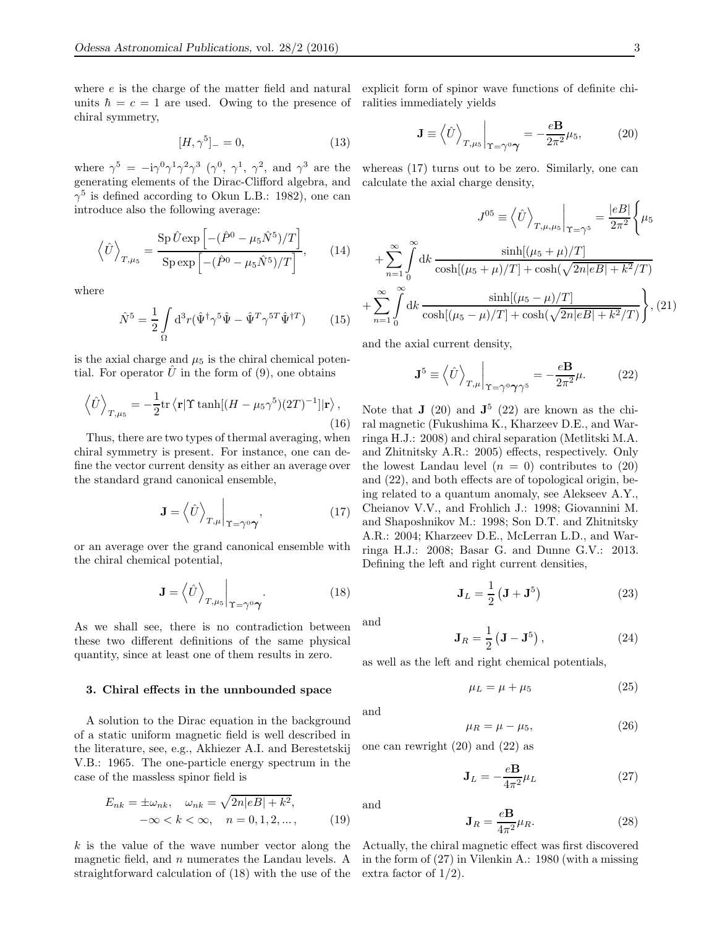where e is the charge of the matter field and natural explicit form of spinor wave functions of definite chiunits  $\hbar = c = 1$  are used. Owing to the presence of ralities immediately yields chiral symmetry,

$$
[H, \gamma^5]_- = 0,\t(13)
$$

where  $\gamma^5 = -i\gamma^0\gamma^1\gamma^2\gamma^3$   $(\gamma^0, \gamma^1, \gamma^2, \text{ and } \gamma^3 \text{ are the})$ generating elements of the Dirac-Clifford algebra, and  $\gamma^5$  is defined according to Okun L.B.: 1982), one can introduce also the following average:

$$
\left\langle \hat{U} \right\rangle_{T,\mu_5} = \frac{\text{Sp}\,\hat{U}\,\text{exp}\left[-(\hat{P}^0 - \mu_5\hat{N}^5)/T\right]}{\text{Sp}\,\text{exp}\left[-(\hat{P}^0 - \mu_5\hat{N}^5)/T\right]},\qquad(14)
$$

where

$$
\hat{N}^5 = \frac{1}{2} \int_{\Omega} d^3 r (\hat{\Psi}^{\dagger} \gamma^5 \hat{\Psi} - \hat{\Psi}^T \gamma^{5T} \hat{\Psi}^{\dagger T}) \qquad (15)
$$

is the axial charge and  $\mu_5$  is the chiral chemical potential. For operator  $\hat{U}$  in the form of (9), one obtains

$$
\left\langle \hat{U} \right\rangle_{T,\mu_5} = -\frac{1}{2} \text{tr} \left\langle \mathbf{r} | \Upsilon \tanh[(H - \mu_5 \gamma^5)(2T)^{-1}] | \mathbf{r} \right\rangle, \tag{16}
$$

Thus, there are two types of thermal averaging, when chiral symmetry is present. For instance, one can define the vector current density as either an average over the standard grand canonical ensemble,

$$
\mathbf{J} = \left\langle \hat{U} \right\rangle_{T,\mu} \bigg|_{\Upsilon = \gamma^0 \gamma},\tag{17}
$$

or an average over the grand canonical ensemble with the chiral chemical potential,

$$
\mathbf{J} = \left\langle \hat{U} \right\rangle_{T, \mu_5} \Big|_{\Upsilon = \gamma^0 \gamma} . \tag{18}
$$

As we shall see, there is no contradiction between these two different definitions of the same physical quantity, since at least one of them results in zero.

#### 3. Chiral effects in the unnbounded space

A solution to the Dirac equation in the background of a static uniform magnetic field is well described in the literature, see, e.g., Akhiezer A.I. and Berestetskij V.B.: 1965. The one-particle energy spectrum in the case of the massless spinor field is

$$
E_{nk} = \pm \omega_{nk}, \quad \omega_{nk} = \sqrt{2n|eB| + k^2},
$$
  

$$
-\infty < k < \infty, \quad n = 0, 1, 2, \dots,
$$
 (19)

k is the value of the wave number vector along the magnetic field, and  $n$  numerates the Landau levels. A straightforward calculation of (18) with the use of the

$$
\mathbf{J} \equiv \left\langle \hat{U} \right\rangle_{T, \mu_5} \Big|_{\Upsilon = \gamma^0 \gamma} = -\frac{e \mathbf{B}}{2\pi^2} \mu_5,
$$
 (20)

whereas (17) turns out to be zero. Similarly, one can calculate the axial charge density,

$$
J^{05} = \left\langle \hat{U} \right\rangle_{T, \mu, \mu_5} \Big|_{\Upsilon = \gamma^5} = \frac{|eB|}{2\pi^2} \left\{ \mu_5 + \sum_{n=1}^{\infty} \int_0^{\infty} dk \, \frac{\sinh[(\mu_5 + \mu)/T]}{\cosh[(\mu_5 + \mu)/T] + \cosh(\sqrt{2n|eB| + k^2}/T)} \right\}
$$

$$
\sum_{n=1}^{\infty} \int_0^{\infty} dk \, \frac{\sinh[(\mu_5 - \mu)/T]}{\cosh[(\mu_5 - \mu)/T] + \cosh(\sqrt{2n|eB| + k^2}/T)} \right\}, (21)
$$

and the axial current density,

$$
\mathbf{J}^5 \equiv \left\langle \hat{U} \right\rangle_{T,\mu} \Big|_{\Upsilon = \gamma^0 \gamma \gamma^5} = -\frac{e \mathbf{B}}{2\pi^2} \mu. \tag{22}
$$

Note that  $J(20)$  and  $J^5(22)$  are known as the chiral magnetic (Fukushima K., Kharzeev D.E., and Warringa H.J.: 2008) and chiral separation (Metlitski M.A. and Zhitnitsky A.R.: 2005) effects, respectively. Only the lowest Landau level  $(n = 0)$  contributes to  $(20)$ and (22), and both effects are of topological origin, being related to a quantum anomaly, see Alekseev A.Y., Cheianov V.V., and Frohlich J.: 1998; Giovannini M. and Shaposhnikov M.: 1998; Son D.T. and Zhitnitsky A.R.: 2004; Kharzeev D.E., McLerran L.D., and Warringa H.J.: 2008; Basar G. and Dunne G.V.: 2013. Defining the left and right current densities,

$$
\mathbf{J}_L = \frac{1}{2} \left( \mathbf{J} + \mathbf{J}^5 \right) \tag{23}
$$

and

+

$$
\mathbf{J}_R = \frac{1}{2} \left( \mathbf{J} - \mathbf{J}^5 \right), \tag{24}
$$

as well as the left and right chemical potentials,

$$
\mu_L = \mu + \mu_5 \tag{25}
$$

and

$$
\mu_R = \mu - \mu_5,\tag{26}
$$

one can rewright (20) and (22) as

$$
\mathbf{J}_L = -\frac{e\mathbf{B}}{4\pi^2}\mu_L\tag{27}
$$

and

$$
\mathbf{J}_R = \frac{e\mathbf{B}}{4\pi^2} \mu_R. \tag{28}
$$

Actually, the chiral magnetic effect was first discovered in the form of (27) in Vilenkin A.: 1980 (with a missing extra factor of 1/2).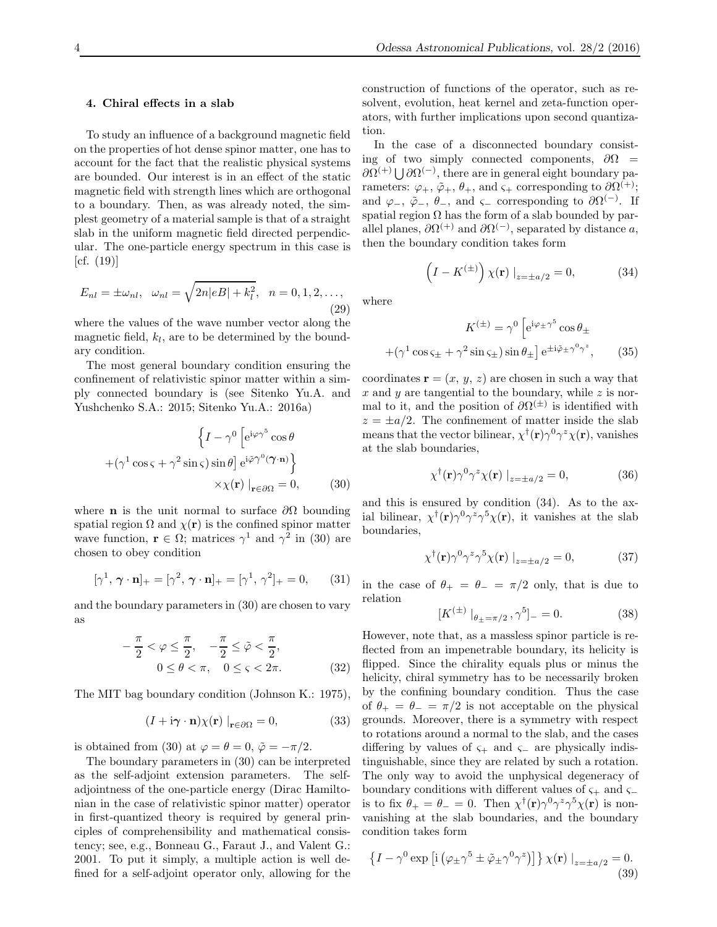### 4. Chiral effects in a slab

To study an influence of a background magnetic field on the properties of hot dense spinor matter, one has to account for the fact that the realistic physical systems are bounded. Our interest is in an effect of the static magnetic field with strength lines which are orthogonal to a boundary. Then, as was already noted, the simplest geometry of a material sample is that of a straight slab in the uniform magnetic field directed perpendicular. The one-particle energy spectrum in this case is  $[cf. (19)]$ 

$$
E_{nl} = \pm \omega_{nl}, \quad \omega_{nl} = \sqrt{2n|eB| + k_l^2}, \quad n = 0, 1, 2, \dots,
$$
\n(29)

where the values of the wave number vector along the magnetic field,  $k_l$ , are to be determined by the boundary condition.

The most general boundary condition ensuring the confinement of relativistic spinor matter within a simply connected boundary is (see Sitenko Yu.A. and Yushchenko S.A.: 2015; Sitenko Yu.A.: 2016a)

$$
\left\{I - \gamma^0 \left[e^{i\varphi \gamma^5} \cos \theta \right.\right.+(\gamma^1 \cos \varsigma + \gamma^2 \sin \varsigma) \sin \theta\right] e^{i\tilde{\varphi}\gamma^0 (\gamma \cdot \mathbf{n})}\right\}\times \chi(\mathbf{r}) \mid_{\mathbf{r} \in \partial \Omega} = 0,
$$
 (30)

where **n** is the unit normal to surface  $\partial\Omega$  bounding spatial region  $\Omega$  and  $\chi(\mathbf{r})$  is the confined spinor matter wave function,  $\mathbf{r} \in \Omega$ ; matrices  $\gamma^1$  and  $\gamma^2$  in (30) are chosen to obey condition

$$
[\gamma^1, \boldsymbol{\gamma} \cdot \mathbf{n}]_+ = [\gamma^2, \boldsymbol{\gamma} \cdot \mathbf{n}]_+ = [\gamma^1, \gamma^2]_+ = 0, \qquad (31)
$$

and the boundary parameters in (30) are chosen to vary as

$$
-\frac{\pi}{2} < \varphi \leq \frac{\pi}{2}, \quad -\frac{\pi}{2} \leq \tilde{\varphi} < \frac{\pi}{2},
$$
  

$$
0 \leq \theta < \pi, \quad 0 \leq \varsigma < 2\pi.
$$
 (32)

The MIT bag boundary condition (Johnson K.: 1975),

$$
(I + i\boldsymbol{\gamma} \cdot \mathbf{n})\chi(\mathbf{r})\big|_{\mathbf{r}\in\partial\Omega} = 0,\tag{33}
$$

is obtained from (30) at  $\varphi = \theta = 0$ ,  $\tilde{\varphi} = -\pi/2$ .

The boundary parameters in (30) can be interpreted as the self-adjoint extension parameters. The selfadjointness of the one-particle energy (Dirac Hamiltonian in the case of relativistic spinor matter) operator in first-quantized theory is required by general principles of comprehensibility and mathematical consistency; see, e.g., Bonneau G., Faraut J., and Valent G.: 2001. To put it simply, a multiple action is well defined for a self-adjoint operator only, allowing for the

construction of functions of the operator, such as resolvent, evolution, heat kernel and zeta-function operators, with further implications upon second quantization.

In the case of a disconnected boundary consisting of two simply connected components,  $\partial \Omega$  =  $\partial \Omega^{(+)} \bigcup \partial \Omega^{(-)}$ , there are in general eight boundary parameters:  $\varphi_+, \tilde{\varphi}_+, \theta_+,$  and  $\varsigma_+$  corresponding to  $\partial \Omega^{(+)}$ ; and  $\varphi_-, \tilde{\varphi}_-, \theta_-,$  and  $\varsigma_-$  corresponding to  $\partial \Omega^{(-)}$ . If spatial region  $\Omega$  has the form of a slab bounded by parallel planes,  $\partial \Omega^{(+)}$  and  $\partial \Omega^{(-)}$ , separated by distance a, then the boundary condition takes form

$$
\left(I - K^{(\pm)}\right) \chi(\mathbf{r}) \big|_{z = \pm a/2} = 0,\tag{34}
$$

where

$$
K^{(\pm)} = \gamma^0 \left[ e^{i\varphi_{\pm}\gamma^5} \cos \theta_{\pm} + (\gamma^1 \cos \varsigma_{\pm} + \gamma^2 \sin \varsigma_{\pm}) \sin \theta_{\pm} \right] e^{\pm i\tilde{\varphi}_{\pm}\gamma^0 \gamma^z}, \qquad (35)
$$

coordinates  $\mathbf{r} = (x, y, z)$  are chosen in such a way that x and y are tangential to the boundary, while  $z$  is normal to it, and the position of  $\partial \Omega^{(\pm)}$  is identified with  $z = \pm a/2$ . The confinement of matter inside the slab means that the vector bilinear,  $\chi^{\dagger}(\mathbf{r})\gamma^0\gamma^z\chi(\mathbf{r})$ , vanishes at the slab boundaries,

$$
\chi^{\dagger}(\mathbf{r})\gamma^{0}\gamma^{z}\chi(\mathbf{r})\left|_{z=\pm a/2}=0,\right.\tag{36}
$$

and this is ensured by condition (34). As to the axial bilinear,  $\chi^{\dagger}(\mathbf{r})\gamma^{0}\gamma^{z}\gamma^{5}\chi(\mathbf{r})$ , it vanishes at the slab boundaries,

$$
\chi^{\dagger}(\mathbf{r})\gamma^{0}\gamma^{z}\gamma^{5}\chi(\mathbf{r})\left|_{z=\pm a/2}=0,\right.\tag{37}
$$

in the case of  $\theta_+ = \theta_- = \pi/2$  only, that is due to relation

$$
[K^{(\pm)}|_{\theta_{\pm}=\pi/2}, \gamma^5]_{-} = 0. \tag{38}
$$

However, note that, as a massless spinor particle is reflected from an impenetrable boundary, its helicity is flipped. Since the chirality equals plus or minus the helicity, chiral symmetry has to be necessarily broken by the confining boundary condition. Thus the case of  $\theta_+ = \theta_- = \pi/2$  is not acceptable on the physical grounds. Moreover, there is a symmetry with respect to rotations around a normal to the slab, and the cases differing by values of  $\varsigma_+$  and  $\varsigma_-$  are physically indistinguishable, since they are related by such a rotation. The only way to avoid the unphysical degeneracy of boundary conditions with different values of  $\varsigma_+$  and  $\varsigma_$ is to fix  $\theta_+ = \theta_- = 0$ . Then  $\chi^{\dagger}(\mathbf{r}) \gamma^0 \gamma^z \gamma^5 \chi(\mathbf{r})$  is nonvanishing at the slab boundaries, and the boundary condition takes form

$$
\left\{I - \gamma^0 \exp\left[i\left(\varphi_{\pm}\gamma^5 \pm \tilde{\varphi}_{\pm}\gamma^0 \gamma^z\right)\right]\right\} \chi(\mathbf{r}) \big|_{z=\pm a/2} = 0. \tag{39}
$$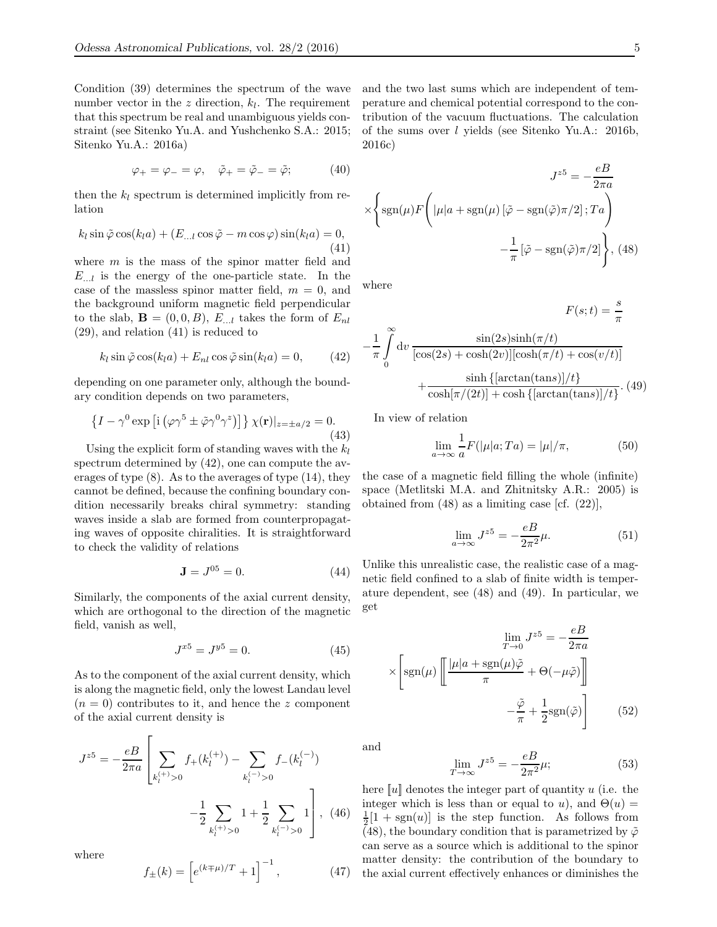Condition (39) determines the spectrum of the wave number vector in the  $z$  direction,  $k_l$ . The requirement that this spectrum be real and unambiguous yields constraint (see Sitenko Yu.A. and Yushchenko S.A.: 2015; Sitenko Yu.A.: 2016a)

$$
\varphi_+ = \varphi_- = \varphi, \quad \tilde{\varphi}_+ = \tilde{\varphi}_- = \tilde{\varphi}; \tag{40}
$$

then the  $k_l$  spectrum is determined implicitly from relation

$$
k_l \sin \tilde{\varphi} \cos(k_l a) + (E_{...l} \cos \tilde{\varphi} - m \cos \varphi) \sin(k_l a) = 0,
$$
\n(41)

where  $m$  is the mass of the spinor matter field and  $E_{\ldots l}$  is the energy of the one-particle state. In the case of the massless spinor matter field,  $m = 0$ , and the background uniform magnetic field perpendicular to the slab,  $\mathbf{B} = (0, 0, B)$ ,  $E_{n,l}$  takes the form of  $E_{nl}$ (29), and relation (41) is reduced to

$$
k_l \sin \tilde{\varphi} \cos(k_l a) + E_{nl} \cos \tilde{\varphi} \sin(k_l a) = 0, \qquad (42)
$$

depending on one parameter only, although the boundary condition depends on two parameters,

$$
\left\{I - \gamma^0 \exp\left[i\left(\varphi \gamma^5 \pm \tilde{\varphi} \gamma^0 \gamma^z\right)\right]\right\} \chi(\mathbf{r})|_{z=\pm a/2} = 0.
$$
\n(43)

Using the explicit form of standing waves with the  $k_l$ spectrum determined by (42), one can compute the averages of type (8). As to the averages of type (14), they cannot be defined, because the confining boundary condition necessarily breaks chiral symmetry: standing waves inside a slab are formed from counterpropagating waves of opposite chiralities. It is straightforward to check the validity of relations

$$
J = J^{05} = 0.
$$
 (44)

Similarly, the components of the axial current density, which are orthogonal to the direction of the magnetic field, vanish as well,

$$
J^{x5} = J^{y5} = 0.\t\t(45)
$$

As to the component of the axial current density, which is along the magnetic field, only the lowest Landau level  $(n = 0)$  contributes to it, and hence the z component of the axial current density is

$$
J^{z5} = -\frac{e}{2\pi a} \left[ \sum_{k_l^{(+)} > 0} f_+(k_l^{(+)}) - \sum_{k_l^{(-)} > 0} f_-(k_l^{(-)}) -\frac{1}{2} \sum_{k_l^{(+)} > 0} 1 + \frac{1}{2} \sum_{k_l^{(-)} > 0} 1 \right], \tag{46}
$$

where

$$
f_{\pm}(k) = \left[ e^{(k \mp \mu)/T} + 1 \right]^{-1}, \tag{47}
$$

and the two last sums which are independent of temperature and chemical potential correspond to the contribution of the vacuum fluctuations. The calculation of the sums over l yields (see Sitenko Yu.A.: 2016b, 2016c)

$$
J^{z5} = -\frac{eB}{2\pi a}
$$

$$
\times \left\{ \text{sgn}(\mu) F\left( |\mu|a + \text{sgn}(\mu) [\tilde{\varphi} - \text{sgn}(\tilde{\varphi})\pi/2]; T a \right) -\frac{1}{\pi} [\tilde{\varphi} - \text{sgn}(\tilde{\varphi})\pi/2] \right\}, (48)
$$

where

$$
F(s;t) = \frac{s}{\pi}
$$

$$
-\frac{1}{\pi} \int_{0}^{\infty} dv \frac{\sin(2s)\sinh(\pi/t)}{[\cos(2s) + \cosh(2v)][\cosh(\pi/t) + \cos(v/t)]}
$$

$$
+\frac{\sinh\{[\arctan(\tan s)]/t\}}{\cosh[\pi/(2t)] + \cosh\{[\arctan(\tan s)]/t\}}.
$$
(49)

In view of relation

$$
\lim_{a \to \infty} \frac{1}{a} F(|\mu|a; Ta) = |\mu|/\pi,
$$
\n(50)

the case of a magnetic field filling the whole (infinite) space (Metlitski M.A. and Zhitnitsky A.R.: 2005) is obtained from (48) as a limiting case [cf. (22)],

$$
\lim_{a \to \infty} J^{z5} = -\frac{eB}{2\pi^2} \mu.
$$
\n(51)

Unlike this unrealistic case, the realistic case of a magnetic field confined to a slab of finite width is temperature dependent, see (48) and (49). In particular, we get

$$
\lim_{T \to 0} J^{z5} = -\frac{eB}{2\pi a}
$$

$$
\times \left[ \text{sgn}(\mu) \left[ \frac{|\mu| a + \text{sgn}(\mu)\tilde{\varphi}}{\pi} + \Theta(-\mu \tilde{\varphi}) \right] \right]
$$

$$
-\frac{\tilde{\varphi}}{\pi} + \frac{1}{2} \text{sgn}(\tilde{\varphi}) \right] \tag{52}
$$

and

$$
\lim_{T \to \infty} J^{z5} = -\frac{eB}{2\pi^2} \mu;\tag{53}
$$

here  $\llbracket u \rrbracket$  denotes the integer part of quantity u (i.e. the integer which is less than or equal to u), and  $\Theta(u)$  =  $\frac{1}{2}[1 + \text{sgn}(u)]$  is the step function. As follows from (48), the boundary condition that is parametrized by  $\tilde{\varphi}$ can serve as a source which is additional to the spinor matter density: the contribution of the boundary to the axial current effectively enhances or diminishes the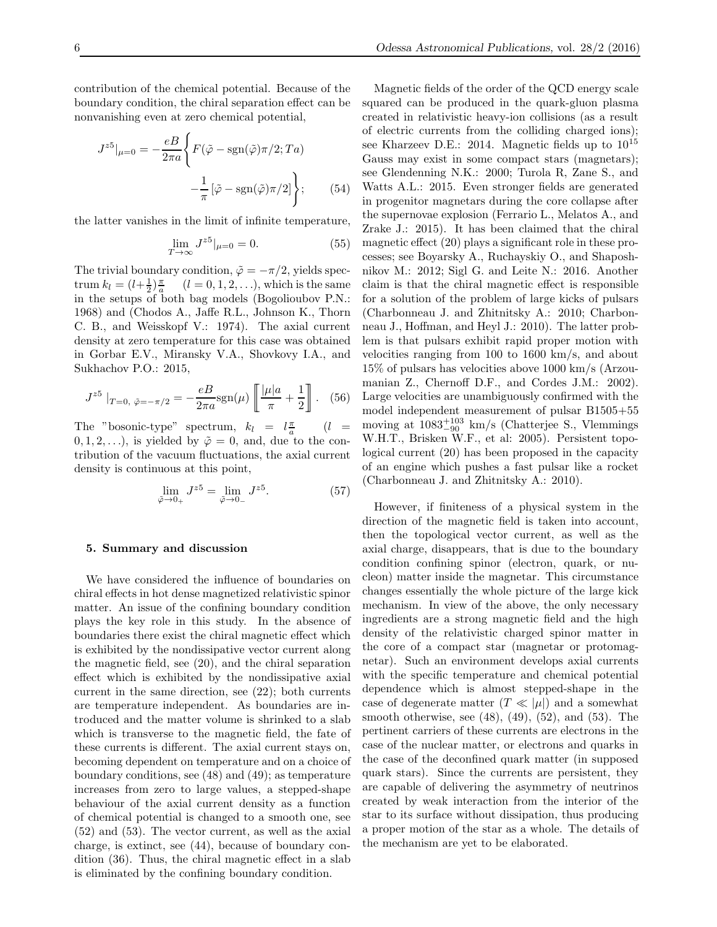contribution of the chemical potential. Because of the boundary condition, the chiral separation effect can be nonvanishing even at zero chemical potential,

$$
J^{z5}|_{\mu=0} = -\frac{eB}{2\pi a} \left\{ F(\tilde{\varphi} - \text{sgn}(\tilde{\varphi})\pi/2; Ta) -\frac{1}{\pi} \left[ \tilde{\varphi} - \text{sgn}(\tilde{\varphi})\pi/2 \right] \right\};\tag{54}
$$

the latter vanishes in the limit of infinite temperature,

$$
\lim_{T \to \infty} J^{z5}|_{\mu=0} = 0.
$$
\n(55)

The trivial boundary condition,  $\tilde{\varphi} = -\pi/2$ , yields spectrum  $k_l = (l + \frac{1}{2})\frac{\pi}{a}$   $(l = 0, 1, 2, ...),$  which is the same in the setups of both bag models (Bogolioubov P.N.: 1968) and (Chodos A., Jaffe R.L., Johnson K., Thorn C. B., and Weisskopf V.: 1974). The axial current density at zero temperature for this case was obtained in Gorbar E.V., Miransky V.A., Shovkovy I.A., and Sukhachov P.O.: 2015,

$$
J^{z5} \mid_{T=0, \ \tilde{\varphi} = -\pi/2} = -\frac{eB}{2\pi a} \text{sgn}(\mu) \left[ \frac{|\mu| a}{\pi} + \frac{1}{2} \right]. \tag{56}
$$

The "bosonic-type" spectrum,  $k_l = l_{\frac{\pi}{a}}$  $(l =$  $(0, 1, 2, \ldots)$ , is yielded by  $\tilde{\varphi} = 0$ , and, due to the contribution of the vacuum fluctuations, the axial current density is continuous at this point,

$$
\lim_{\tilde{\varphi}\to 0_+} J^{z5} = \lim_{\tilde{\varphi}\to 0_-} J^{z5}.
$$
\n(57)

#### 5. Summary and discussion

We have considered the influence of boundaries on chiral effects in hot dense magnetized relativistic spinor matter. An issue of the confining boundary condition plays the key role in this study. In the absence of boundaries there exist the chiral magnetic effect which is exhibited by the nondissipative vector current along the magnetic field, see (20), and the chiral separation effect which is exhibited by the nondissipative axial current in the same direction, see (22); both currents are temperature independent. As boundaries are introduced and the matter volume is shrinked to a slab which is transverse to the magnetic field, the fate of these currents is different. The axial current stays on, becoming dependent on temperature and on a choice of boundary conditions, see (48) and (49); as temperature increases from zero to large values, a stepped-shape behaviour of the axial current density as a function of chemical potential is changed to a smooth one, see (52) and (53). The vector current, as well as the axial charge, is extinct, see (44), because of boundary condition (36). Thus, the chiral magnetic effect in a slab is eliminated by the confining boundary condition.

Magnetic fields of the order of the QCD energy scale squared can be produced in the quark-gluon plasma created in relativistic heavy-ion collisions (as a result of electric currents from the colliding charged ions); see Kharzeev D.E.: 2014. Magnetic fields up to  $10^{15}$ Gauss may exist in some compact stars (magnetars); see Glendenning N.K.: 2000; Turola R, Zane S., and Watts A.L.: 2015. Even stronger fields are generated in progenitor magnetars during the core collapse after the supernovae explosion (Ferrario L., Melatos A., and Zrake J.: 2015). It has been claimed that the chiral magnetic effect (20) plays a significant role in these processes; see Boyarsky A., Ruchayskiy O., and Shaposhnikov M.: 2012; Sigl G. and Leite N.: 2016. Another claim is that the chiral magnetic effect is responsible for a solution of the problem of large kicks of pulsars (Charbonneau J. and Zhitnitsky A.: 2010; Charbonneau J., Hoffman, and Heyl J.: 2010). The latter problem is that pulsars exhibit rapid proper motion with velocities ranging from 100 to 1600 km/s, and about 15% of pulsars has velocities above 1000 km/s (Arzoumanian Z., Chernoff D.F., and Cordes J.M.: 2002). Large velocities are unambiguously confirmed with the model independent measurement of pulsar B1505+55 moving at  $1083^{+103}_{-90}$  km/s (Chatterjee S., Vlemmings W.H.T., Brisken W.F., et al: 2005). Persistent topological current (20) has been proposed in the capacity of an engine which pushes a fast pulsar like a rocket (Charbonneau J. and Zhitnitsky A.: 2010).

However, if finiteness of a physical system in the direction of the magnetic field is taken into account, then the topological vector current, as well as the axial charge, disappears, that is due to the boundary condition confining spinor (electron, quark, or nucleon) matter inside the magnetar. This circumstance changes essentially the whole picture of the large kick mechanism. In view of the above, the only necessary ingredients are a strong magnetic field and the high density of the relativistic charged spinor matter in the core of a compact star (magnetar or protomagnetar). Such an environment develops axial currents with the specific temperature and chemical potential dependence which is almost stepped-shape in the case of degenerate matter  $(T \ll |\mu|)$  and a somewhat smooth otherwise, see (48), (49), (52), and (53). The pertinent carriers of these currents are electrons in the case of the nuclear matter, or electrons and quarks in the case of the deconfined quark matter (in supposed quark stars). Since the currents are persistent, they are capable of delivering the asymmetry of neutrinos created by weak interaction from the interior of the star to its surface without dissipation, thus producing a proper motion of the star as a whole. The details of the mechanism are yet to be elaborated.